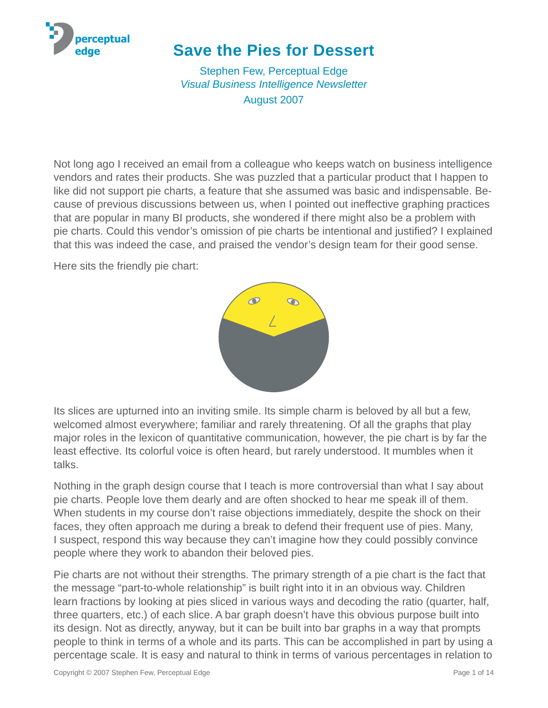

# **Save the Pies for Dessert**

[Stephen Few,](mailto://sfew@perceptualedge.com) Perceptual Edge *[Visual Business Intelligence Newsletter](http://www.perceptualedge.com/newsletter.php)* August 2007

Not long ago I received an email from a colleague who keeps watch on business intelligence vendors and rates their products. She was puzzled that a particular product that I happen to like did not support pie charts, a feature that she assumed was basic and indispensable. Because of previous discussions between us, when I pointed out ineffective graphing practices that are popular in many BI products, she wondered if there might also be a problem with pie charts. Could this vendor's omission of pie charts be intentional and justified? I explained that this was indeed the case, and praised the vendor's design team for their good sense.

Here sits the friendly pie chart:



Its slices are upturned into an inviting smile. Its simple charm is beloved by all but a few, welcomed almost everywhere; familiar and rarely threatening. Of all the graphs that play major roles in the lexicon of quantitative communication, however, the pie chart is by far the least effective. Its colorful voice is often heard, but rarely understood. It mumbles when it talks.

Nothing in the graph design course that I teach is more controversial than what I say about pie charts. People love them dearly and are often shocked to hear me speak ill of them. When students in my course don't raise objections immediately, despite the shock on their faces, they often approach me during a break to defend their frequent use of pies. Many, I suspect, respond this way because they can't imagine how they could possibly convince people where they work to abandon their beloved pies.

Pie charts are not without their strengths. The primary strength of a pie chart is the fact that the message "part-to-whole relationship" is built right into it in an obvious way. Children learn fractions by looking at pies sliced in various ways and decoding the ratio (quarter, half, three quarters, etc.) of each slice. A bar graph doesn't have this obvious purpose built into its design. Not as directly, anyway, but it can be built into bar graphs in a way that prompts people to think in terms of a whole and its parts. This can be accomplished in part by using a percentage scale. It is easy and natural to think in terms of various percentages in relation to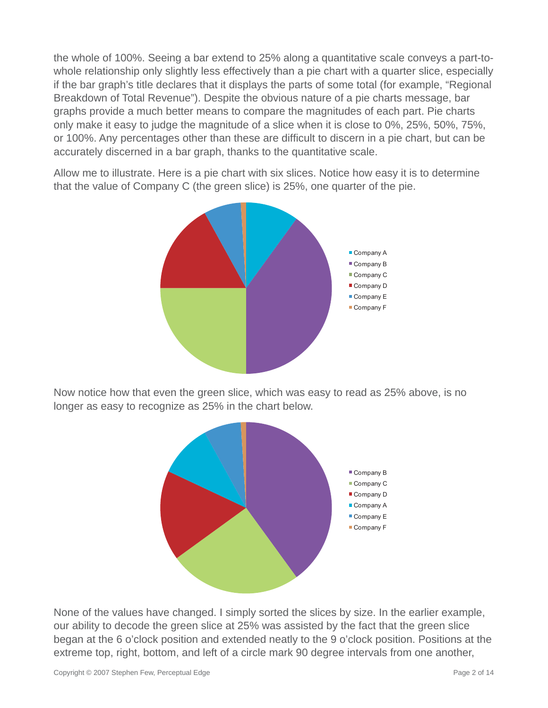the whole of 100%. Seeing a bar extend to 25% along a quantitative scale conveys a part-towhole relationship only slightly less effectively than a pie chart with a quarter slice, especially if the bar graph's title declares that it displays the parts of some total (for example, "Regional Breakdown of Total Revenue"). Despite the obvious nature of a pie charts message, bar graphs provide a much better means to compare the magnitudes of each part. Pie charts only make it easy to judge the magnitude of a slice when it is close to 0%, 25%, 50%, 75%, or 100%. Any percentages other than these are difficult to discern in a pie chart, but can be accurately discerned in a bar graph, thanks to the quantitative scale.

Allow me to illustrate. Here is a pie chart with six slices. Notice how easy it is to determine that the value of Company C (the green slice) is 25%, one quarter of the pie.



Now notice how that even the green slice, which was easy to read as 25% above, is no longer as easy to recognize as 25% in the chart below.



None of the values have changed. I simply sorted the slices by size. In the earlier example, our ability to decode the green slice at 25% was assisted by the fact that the green slice began at the 6 o'clock position and extended neatly to the 9 o'clock position. Positions at the extreme top, right, bottom, and left of a circle mark 90 degree intervals from one another,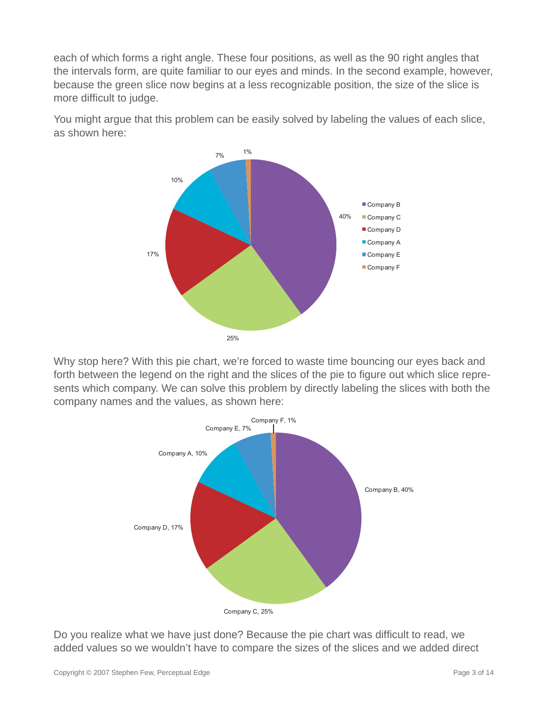each of which forms a right angle. These four positions, as well as the 90 right angles that the intervals form, are quite familiar to our eyes and minds. In the second example, however, because the green slice now begins at a less recognizable position, the size of the slice is more difficult to judge.

You might argue that this problem can be easily solved by labeling the values of each slice, as shown here:



Why stop here? With this pie chart, we're forced to waste time bouncing our eyes back and forth between the legend on the right and the slices of the pie to figure out which slice represents which company. We can solve this problem by directly labeling the slices with both the company names and the values, as shown here:



Do you realize what we have just done? Because the pie chart was difficult to read, we added values so we wouldn't have to compare the sizes of the slices and we added direct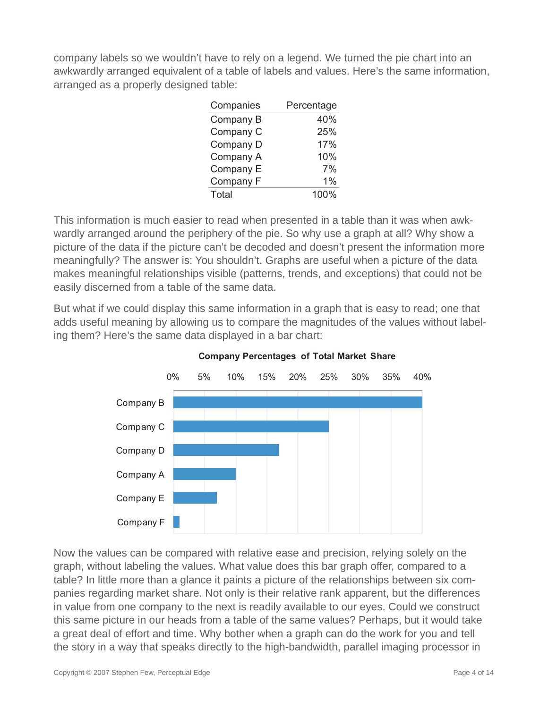company labels so we wouldn't have to rely on a legend. We turned the pie chart into an awkwardly arranged equivalent of a table of labels and values. Here's the same information, arranged as a properly designed table:

| Companies | Percentage |
|-----------|------------|
| Company B | 40%        |
| Company C | 25%        |
| Company D | 17%        |
| Company A | 10%        |
| Company E | 7%         |
| Company F | $1\%$      |
| Total     | 100%       |

This information is much easier to read when presented in a table than it was when awkwardly arranged around the periphery of the pie. So why use a graph at all? Why show a picture of the data if the picture can't be decoded and doesn't present the information more meaningfully? The answer is: You shouldn't. Graphs are useful when a picture of the data makes meaningful relationships visible (patterns, trends, and exceptions) that could not be easily discerned from a table of the same data.

But what if we could display this same information in a graph that is easy to read; one that adds useful meaning by allowing us to compare the magnitudes of the values without labeling them? Here's the same data displayed in a bar chart:



#### **Company Percentages of Total Market Share**

Now the values can be compared with relative ease and precision, relying solely on the graph, without labeling the values. What value does this bar graph offer, compared to a table? In little more than a glance it paints a picture of the relationships between six companies regarding market share. Not only is their relative rank apparent, but the differences in value from one company to the next is readily available to our eyes. Could we construct this same picture in our heads from a table of the same values? Perhaps, but it would take a great deal of effort and time. Why bother when a graph can do the work for you and tell the story in a way that speaks directly to the high-bandwidth, parallel imaging processor in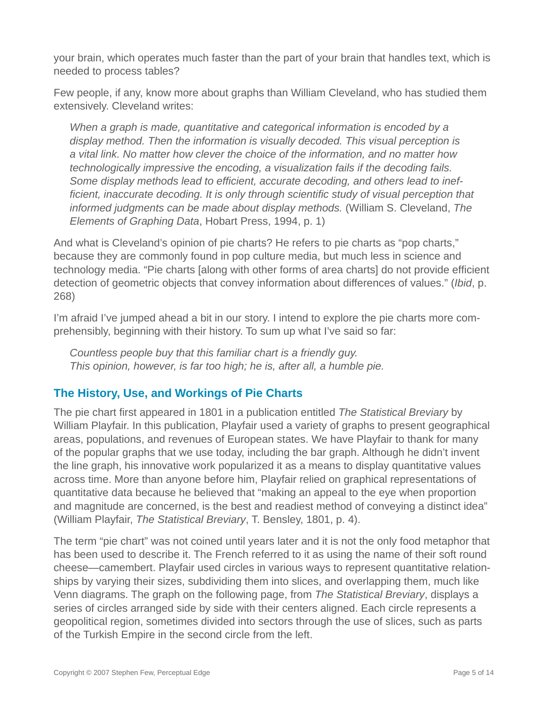your brain, which operates much faster than the part of your brain that handles text, which is needed to process tables?

Few people, if any, know more about graphs than William Cleveland, who has studied them extensively. Cleveland writes:

*When a graph is made, quantitative and categorical information is encoded by a display method. Then the information is visually decoded. This visual perception is a vital link. No matter how clever the choice of the information, and no matter how technologically impressive the encoding, a visualization fails if the decoding fails.*  Some display methods lead to efficient, accurate decoding, and others lead to inef*fi cient, inaccurate decoding. It is only through scientifi c study of visual perception that informed judgments can be made about display methods.* (William S. Cleveland, *The Elements of Graphing Data*, Hobart Press, 1994, p. 1)

And what is Cleveland's opinion of pie charts? He refers to pie charts as "pop charts," because they are commonly found in pop culture media, but much less in science and technology media. "Pie charts [along with other forms of area charts] do not provide efficient detection of geometric objects that convey information about differences of values." (*Ibid*, p. 268)

I'm afraid I've jumped ahead a bit in our story. I intend to explore the pie charts more comprehensibly, beginning with their history. To sum up what I've said so far:

*Countless people buy that this familiar chart is a friendly guy. This opinion, however, is far too high; he is, after all, a humble pie.*

# **The History, Use, and Workings of Pie Charts**

The pie chart first appeared in 1801 in a publication entitled *The Statistical Breviary* by William Playfair. In this publication, Playfair used a variety of graphs to present geographical areas, populations, and revenues of European states. We have Playfair to thank for many of the popular graphs that we use today, including the bar graph. Although he didn't invent the line graph, his innovative work popularized it as a means to display quantitative values across time. More than anyone before him, Playfair relied on graphical representations of quantitative data because he believed that "making an appeal to the eye when proportion and magnitude are concerned, is the best and readiest method of conveying a distinct idea" (William Playfair, *The Statistical Breviary*, T. Bensley, 1801, p. 4).

The term "pie chart" was not coined until years later and it is not the only food metaphor that has been used to describe it. The French referred to it as using the name of their soft round cheese—camembert. Playfair used circles in various ways to represent quantitative relationships by varying their sizes, subdividing them into slices, and overlapping them, much like Venn diagrams. The graph on the following page, from *The Statistical Breviary*, displays a series of circles arranged side by side with their centers aligned. Each circle represents a geopolitical region, sometimes divided into sectors through the use of slices, such as parts of the Turkish Empire in the second circle from the left.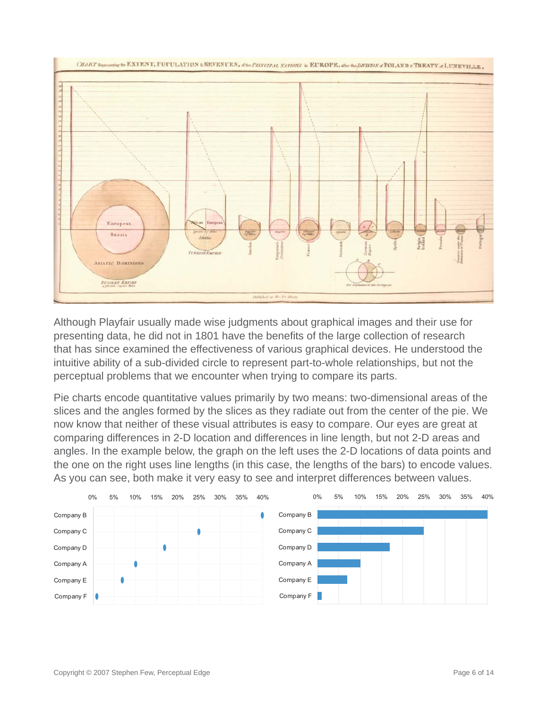

Although Playfair usually made wise judgments about graphical images and their use for presenting data, he did not in 1801 have the benefits of the large collection of research that has since examined the effectiveness of various graphical devices. He understood the intuitive ability of a sub-divided circle to represent part-to-whole relationships, but not the perceptual problems that we encounter when trying to compare its parts.

Pie charts encode quantitative values primarily by two means: two-dimensional areas of the slices and the angles formed by the slices as they radiate out from the center of the pie. We now know that neither of these visual attributes is easy to compare. Our eyes are great at comparing differences in 2-D location and differences in line length, but not 2-D areas and angles. In the example below, the graph on the left uses the 2-D locations of data points and the one on the right uses line lengths (in this case, the lengths of the bars) to encode values. As you can see, both make it very easy to see and interpret differences between values.

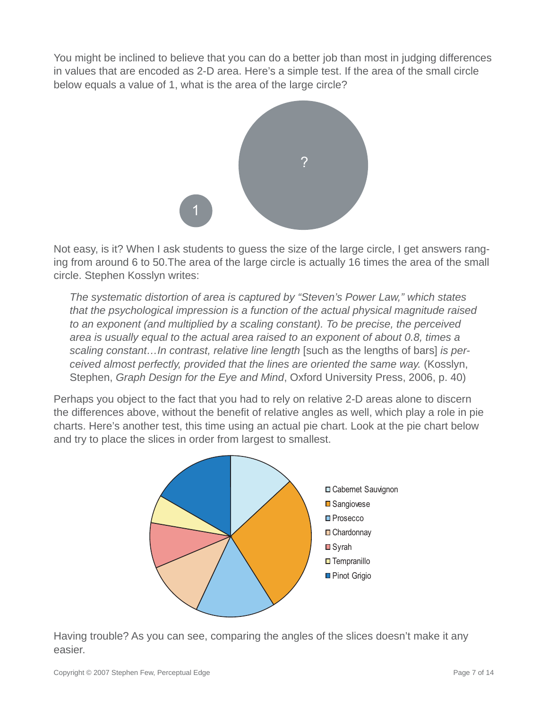You might be inclined to believe that you can do a better job than most in judging differences in values that are encoded as 2-D area. Here's a simple test. If the area of the small circle below equals a value of 1, what is the area of the large circle?



Not easy, is it? When I ask students to guess the size of the large circle, I get answers ranging from around 6 to 50.The area of the large circle is actually 16 times the area of the small circle. Stephen Kosslyn writes:

*The systematic distortion of area is captured by "Steven's Power Law," which states that the psychological impression is a function of the actual physical magnitude raised to an exponent (and multiplied by a scaling constant). To be precise, the perceived area is usually equal to the actual area raised to an exponent of about 0.8, times a scaling constant…In contrast, relative line length* [such as the lengths of bars] *is perceived almost perfectly, provided that the lines are oriented the same way.* (Kosslyn, Stephen, *Graph Design for the Eye and Mind*, Oxford University Press, 2006, p. 40)

Perhaps you object to the fact that you had to rely on relative 2-D areas alone to discern the differences above, without the benefit of relative angles as well, which play a role in pie charts. Here's another test, this time using an actual pie chart. Look at the pie chart below and try to place the slices in order from largest to smallest.



Having trouble? As you can see, comparing the angles of the slices doesn't make it any easier.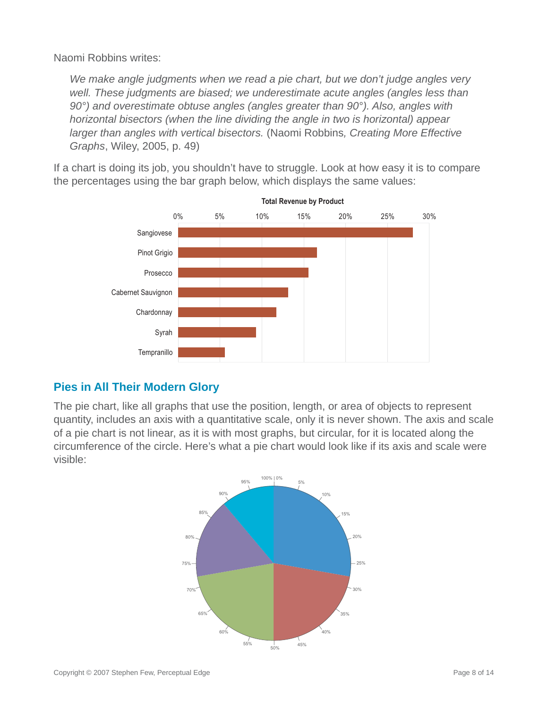Naomi Robbins writes:

*We make angle judgments when we read a pie chart, but we don't judge angles very well. These judgments are biased; we underestimate acute angles (angles less than 90°) and overestimate obtuse angles (angles greater than 90°). Also, angles with horizontal bisectors (when the line dividing the angle in two is horizontal) appear larger than angles with vertical bisectors.* (Naomi Robbins*, Creating More Effective Graphs*, Wiley, 2005, p. 49)

If a chart is doing its job, you shouldn't have to struggle. Look at how easy it is to compare the percentages using the bar graph below, which displays the same values:



## **Pies in All Their Modern Glory**

The pie chart, like all graphs that use the position, length, or area of objects to represent quantity, includes an axis with a quantitative scale, only it is never shown. The axis and scale of a pie chart is not linear, as it is with most graphs, but circular, for it is located along the circumference of the circle. Here's what a pie chart would look like if its axis and scale were visible:

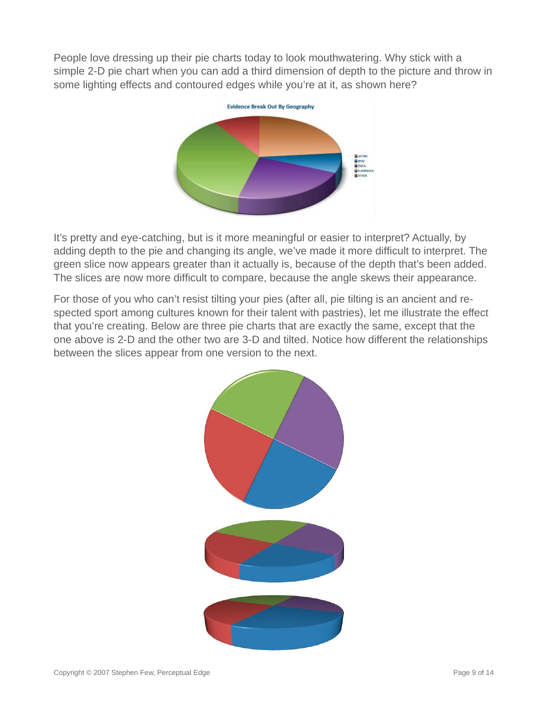People love dressing up their pie charts today to look mouthwatering. Why stick with a simple 2-D pie chart when you can add a third dimension of depth to the picture and throw in some lighting effects and contoured edges while you're at it, as shown here?



It's pretty and eye-catching, but is it more meaningful or easier to interpret? Actually, by adding depth to the pie and changing its angle, we've made it more difficult to interpret. The green slice now appears greater than it actually is, because of the depth that's been added. The slices are now more difficult to compare, because the angle skews their appearance.

For those of you who can't resist tilting your pies (after all, pie tilting is an ancient and respected sport among cultures known for their talent with pastries), let me illustrate the effect that you're creating. Below are three pie charts that are exactly the same, except that the one above is 2-D and the other two are 3-D and tilted. Notice how different the relationships between the slices appear from one version to the next.

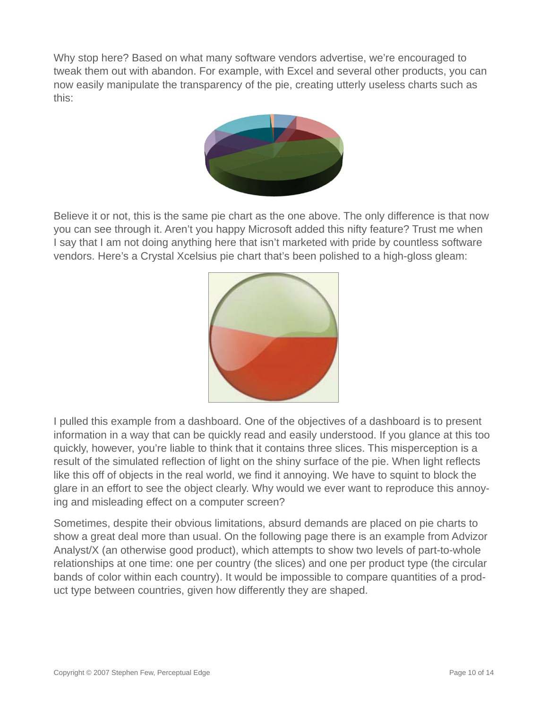Why stop here? Based on what many software vendors advertise, we're encouraged to tweak them out with abandon. For example, with Excel and several other products, you can now easily manipulate the transparency of the pie, creating utterly useless charts such as this:



Believe it or not, this is the same pie chart as the one above. The only difference is that now you can see through it. Aren't you happy Microsoft added this nifty feature? Trust me when I say that I am not doing anything here that isn't marketed with pride by countless software vendors. Here's a Crystal Xcelsius pie chart that's been polished to a high-gloss gleam:



I pulled this example from a dashboard. One of the objectives of a dashboard is to present information in a way that can be quickly read and easily understood. If you glance at this too quickly, however, you're liable to think that it contains three slices. This misperception is a result of the simulated reflection of light on the shiny surface of the pie. When light reflects like this off of objects in the real world, we find it annoying. We have to squint to block the glare in an effort to see the object clearly. Why would we ever want to reproduce this annoying and misleading effect on a computer screen?

Sometimes, despite their obvious limitations, absurd demands are placed on pie charts to show a great deal more than usual. On the following page there is an example from Advizor Analyst/X (an otherwise good product), which attempts to show two levels of part-to-whole relationships at one time: one per country (the slices) and one per product type (the circular bands of color within each country). It would be impossible to compare quantities of a product type between countries, given how differently they are shaped.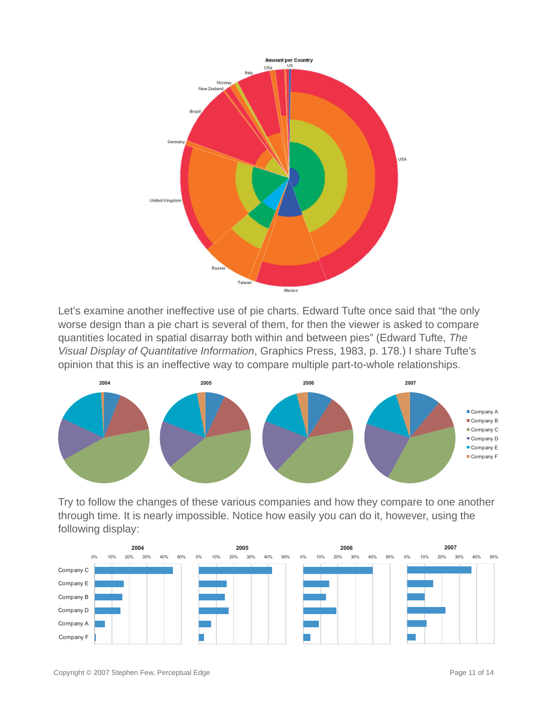

Let's examine another ineffective use of pie charts. Edward Tufte once said that "the only worse design than a pie chart is several of them, for then the viewer is asked to compare quantities located in spatial disarray both within and between pies" (Edward Tufte, *The Visual Display of Quantitative Information*, Graphics Press, 1983, p. 178.) I share Tufte's opinion that this is an ineffective way to compare multiple part-to-whole relationships.

![](_page_10_Figure_2.jpeg)

Try to follow the changes of these various companies and how they compare to one another through time. It is nearly impossible. Notice how easily you can do it, however, using the following display:

![](_page_10_Figure_4.jpeg)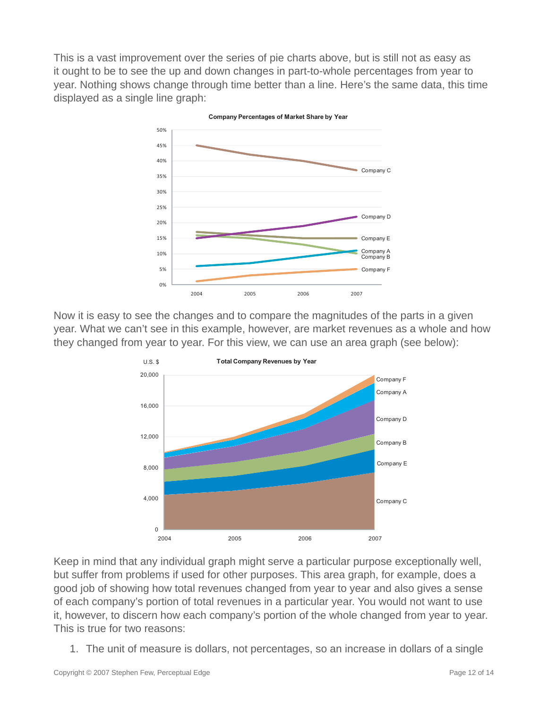This is a vast improvement over the series of pie charts above, but is still not as easy as it ought to be to see the up and down changes in part-to-whole percentages from year to year. Nothing shows change through time better than a line. Here's the same data, this time displayed as a single line graph:

![](_page_11_Figure_1.jpeg)

Now it is easy to see the changes and to compare the magnitudes of the parts in a given year. What we can't see in this example, however, are market revenues as a whole and how they changed from year to year. For this view, we can use an area graph (see below):

![](_page_11_Figure_3.jpeg)

Keep in mind that any individual graph might serve a particular purpose exceptionally well, but suffer from problems if used for other purposes. This area graph, for example, does a good job of showing how total revenues changed from year to year and also gives a sense of each company's portion of total revenues in a particular year. You would not want to use it, however, to discern how each company's portion of the whole changed from year to year. This is true for two reasons:

1. The unit of measure is dollars, not percentages, so an increase in dollars of a single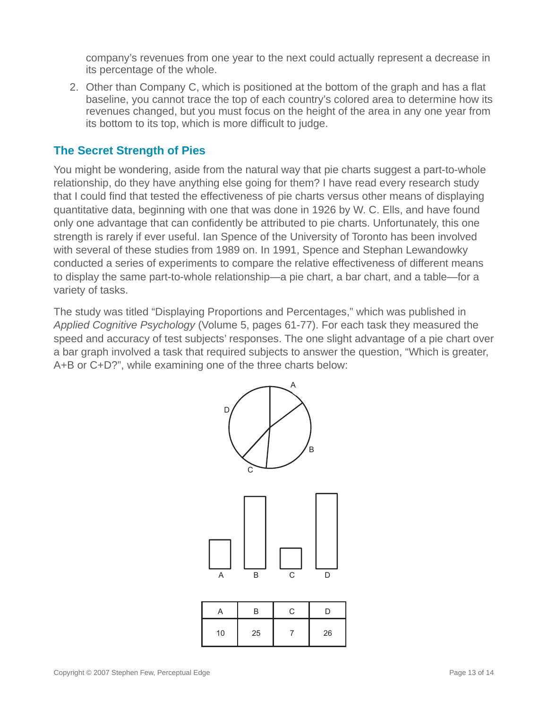company's revenues from one year to the next could actually represent a decrease in its percentage of the whole.

2. Other than Company C, which is positioned at the bottom of the graph and has a flat baseline, you cannot trace the top of each country's colored area to determine how its revenues changed, but you must focus on the height of the area in any one year from its bottom to its top, which is more difficult to judge.

### **The Secret Strength of Pies**

You might be wondering, aside from the natural way that pie charts suggest a part-to-whole relationship, do they have anything else going for them? I have read every research study that I could find that tested the effectiveness of pie charts versus other means of displaying quantitative data, beginning with one that was done in 1926 by W. C. Ells, and have found only one advantage that can confidently be attributed to pie charts. Unfortunately, this one strength is rarely if ever useful. Ian Spence of the University of Toronto has been involved with several of these studies from 1989 on. In 1991, Spence and Stephan Lewandowky conducted a series of experiments to compare the relative effectiveness of different means to display the same part-to-whole relationship—a pie chart, a bar chart, and a table—for a variety of tasks.

The study was titled "Displaying Proportions and Percentages," which was published in *Applied Cognitive Psychology* (Volume 5, pages 61-77). For each task they measured the speed and accuracy of test subjects' responses. The one slight advantage of a pie chart over a bar graph involved a task that required subjects to answer the question, "Which is greater, A+B or C+D?", while examining one of the three charts below:

![](_page_12_Figure_5.jpeg)